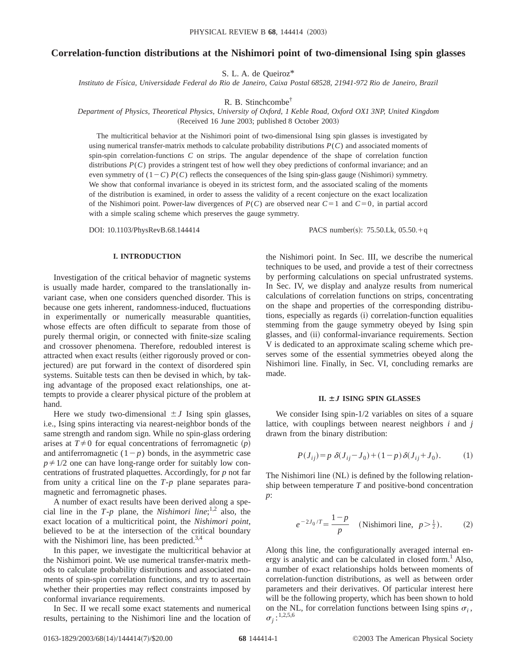# **Correlation-function distributions at the Nishimori point of two-dimensional Ising spin glasses**

S. L. A. de Queiroz\*

*Instituto de Fı´sica, Universidade Federal do Rio de Janeiro, Caixa Postal 68528, 21941-972 Rio de Janeiro, Brazil*

R. B. Stinchcombe<sup>†</sup>

*Department of Physics, Theoretical Physics, University of Oxford, 1 Keble Road, Oxford OX1 3NP, United Kingdom* (Received 16 June 2003; published 8 October 2003)

The multicritical behavior at the Nishimori point of two-dimensional Ising spin glasses is investigated by using numerical transfer-matrix methods to calculate probability distributions *P*(*C*) and associated moments of spin-spin correlation-functions *C* on strips. The angular dependence of the shape of correlation function distributions *P*(*C*) provides a stringent test of how well they obey predictions of conformal invariance; and an even symmetry of  $(1-C)$  *P(C)* reflects the consequences of the Ising spin-glass gauge (Nishimori) symmetry. We show that conformal invariance is obeyed in its strictest form, and the associated scaling of the moments of the distribution is examined, in order to assess the validity of a recent conjecture on the exact localization of the Nishimori point. Power-law divergences of  $P(C)$  are observed near  $C=1$  and  $C=0$ , in partial accord with a simple scaling scheme which preserves the gauge symmetry.

### **I. INTRODUCTION**

Investigation of the critical behavior of magnetic systems is usually made harder, compared to the translationally invariant case, when one considers quenched disorder. This is because one gets inherent, randomness-induced, fluctuations in experimentally or numerically measurable quantities, whose effects are often difficult to separate from those of purely thermal origin, or connected with finite-size scaling and crossover phenomena. Therefore, redoubled interest is attracted when exact results (either rigorously proved or conjectured) are put forward in the context of disordered spin systems. Suitable tests can then be devised in which, by taking advantage of the proposed exact relationships, one attempts to provide a clearer physical picture of the problem at hand.

Here we study two-dimensional  $\pm J$  Ising spin glasses, i.e., Ising spins interacting via nearest-neighbor bonds of the same strength and random sign. While no spin-glass ordering arises at  $T \neq 0$  for equal concentrations of ferromagnetic  $(p)$ and antiferromagnetic  $(1-p)$  bonds, in the asymmetric case  $p \neq 1/2$  one can have long-range order for suitably low concentrations of frustrated plaquettes. Accordingly, for *p* not far from unity a critical line on the *T*-*p* plane separates paramagnetic and ferromagnetic phases.

A number of exact results have been derived along a special line in the  $T-p$  plane, the *Nishimori line*;<sup>1,2</sup> also, the exact location of a multicritical point, the *Nishimori point*, believed to be at the intersection of the critical boundary with the Nishimori line, has been predicted. $3,4$ 

In this paper, we investigate the multicritical behavior at the Nishimori point. We use numerical transfer-matrix methods to calculate probability distributions and associated moments of spin-spin correlation functions, and try to ascertain whether their properties may reflect constraints imposed by conformal invariance requirements.

In Sec. II we recall some exact statements and numerical results, pertaining to the Nishimori line and the location of

DOI: 10.1103/PhysRevB.68.144414 PACS number(s): 75.50.Lk, 05.50.<sup>1</sup>q

the Nishimori point. In Sec. III, we describe the numerical techniques to be used, and provide a test of their correctness by performing calculations on special unfrustrated systems. In Sec. IV, we display and analyze results from numerical calculations of correlation functions on strips, concentrating on the shape and properties of the corresponding distributions, especially as regards (i) correlation-function equalities stemming from the gauge symmetry obeyed by Ising spin glasses, and (ii) conformal-invariance requirements. Section V is dedicated to an approximate scaling scheme which preserves some of the essential symmetries obeyed along the Nishimori line. Finally, in Sec. VI, concluding remarks are made.

#### **II. Á***J* **ISING SPIN GLASSES**

We consider Ising spin-1/2 variables on sites of a square lattice, with couplings between nearest neighbors *i* and *j* drawn from the binary distribution:

$$
P(J_{ij}) = p \ \delta(J_{ij} - J_0) + (1 - p) \delta(J_{ij} + J_0). \tag{1}
$$

The Nishimori line (NL) is defined by the following relationship between temperature *T* and positive-bond concentration *p*:

$$
e^{-2J_0/T} = \frac{1-p}{p}
$$
 (Nishimori line,  $p > \frac{1}{2}$ ). (2)

Along this line, the configurationally averaged internal energy is analytic and can be calculated in closed form.<sup>1</sup> Also, a number of exact relationships holds between moments of correlation-function distributions, as well as between order parameters and their derivatives. Of particular interest here will be the following property, which has been shown to hold on the NL, for correlation functions between Ising spins  $\sigma_i$ ,  $\sigma_j:$ <sup>1,2,5,6</sup>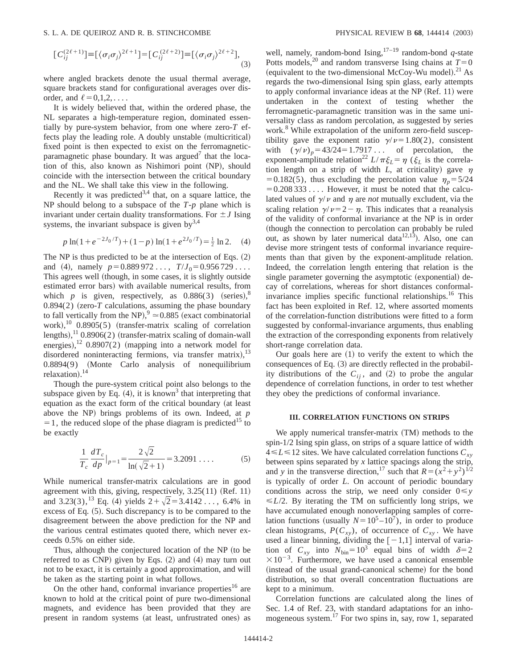#### S. L. A. DE QUEIROZ AND R. B. STINCHCOMBE **PHYSICAL REVIEW B 68**, 144414 (2003)

$$
\big[C_{ij}^{(2\ell+1)}\big]\equiv\big[\langle\sigma_i\sigma_j\rangle^{2\ell+1}\big]\big=[C_{ij}^{(2\ell+2)}\big]\equiv\big[\langle\sigma_i\sigma_j\rangle^{2\ell+2}\big],\tag{3}
$$

where angled brackets denote the usual thermal average, square brackets stand for configurational averages over disorder, and  $\ell=0,1,2,\ldots$ .

It is widely believed that, within the ordered phase, the NL separates a high-temperature region, dominated essentially by pure-system behavior, from one where zero-*T* effects play the leading role. A doubly unstable (multicritical) fixed point is then expected to exist on the ferromagneticparamagnetic phase boundary. It was argued<sup> $\prime$ </sup> that the location of this, also known as Nishimori point (NP), should coincide with the intersection between the critical boundary and the NL. We shall take this view in the following.

Recently it was predicted<sup>3,4</sup> that, on a square lattice, the NP should belong to a subspace of the *T*-*p* plane which is invariant under certain duality transformations. For  $\pm J$  Ising systems, the invariant subspace is given  $by<sup>3,4</sup>$ 

$$
p \ln(1 + e^{-2J_0/T}) + (1 - p) \ln(1 + e^{2J_0/T}) = \frac{1}{2} \ln 2. \quad (4)
$$

The NP is thus predicted to be at the intersection of Eqs.  $(2)$ and (4), namely  $p=0.889972...$ ,  $T/J_0=0.956729...$ This agrees well (though, in some cases, it is slightly outside estimated error bars) with available numerical results, from which *p* is given, respectively, as  $0.886(3)$  (series),<sup>8</sup>  $0.894(2)$  (zero- $T$  calculations, assuming the phase boundary to fall vertically from the NP),  $9 \approx 0.885$  (exact combinatorial work),<sup>10</sup> 0.8905(5) (transfer-matrix scaling of correlation lengths), $^{11}$  0.8906(2) (transfer-matrix scaling of domain-wall energies), $^{12}$  0.8907(2) (mapping into a network model for disordered noninteracting fermions, via transfer matrix),<sup>13</sup>  $0.8894(9)$  (Monte Carlo analysis of nonequilibrium relaxation).<sup>14</sup>

Though the pure-system critical point also belongs to the subspace given by Eq.  $(4)$ , it is known<sup>3</sup> that interpreting that equation as the exact form of the critical boundary (at least above the NP) brings problems of its own. Indeed, at *p*  $=1$ , the reduced slope of the phase diagram is predicted<sup>15</sup> to be exactly

$$
\frac{1}{T_c} \frac{dT_c}{dp} \big|_{p=1} = \frac{2\sqrt{2}}{\ln(\sqrt{2}+1)} = 3.2091 \dots \tag{5}
$$

While numerical transfer-matrix calculations are in good agreement with this, giving, respectively,  $3.25(11)$  (Ref. 11) and 3.23(3),<sup>13</sup> Eq. (4) yields  $2 + \sqrt{2} = 3.4142...$ , 6.4% in excess of Eq.  $(5)$ . Such discrepancy is to be compared to the disagreement between the above prediction for the NP and the various central estimates quoted there, which never exceeds 0.5% on either side.

Thus, although the conjectured location of the NP (to be referred to as CNP) given by Eqs.  $(2)$  and  $(4)$  may turn out not to be exact, it is certainly a good approximation, and will be taken as the starting point in what follows.

On the other hand, conformal invariance properties<sup>16</sup> are known to hold at the critical point of pure two-dimensional magnets, and evidence has been provided that they are present in random systems (at least, unfrustrated ones) as

well, namely, random-bond Ising,17–19 random-bond *q*-state Potts models,<sup>20</sup> and random transverse Ising chains at  $T=0$ (equivalent to the two-dimensional McCoy-Wu model).<sup>21</sup> As regards the two-dimensional Ising spin glass, early attempts to apply conformal invariance ideas at the NP  $(Ref. 11)$  were undertaken in the context of testing whether the ferromagnetic-paramagnetic transition was in the same universality class as random percolation, as suggested by series work.<sup>8</sup> While extrapolation of the uniform zero-field susceptibility gave the exponent ratio  $\gamma/\nu=1.80(2)$ , consistent with  $(\gamma/\nu)_p = 43/24 = 1.7917...$  of percolation, the exponent-amplitude relation<sup>22</sup>  $L/\pi \xi_L = \eta \left(\xi_L \right)$  is the correlation length on a strip of width  $L$ , at criticality) gave  $\eta$ =0.182(5), thus excluding the percolation value  $\eta_p = 5/24$  $=0.208333...$  However, it must be noted that the calculated values of  $\gamma/\nu$  and  $\eta$  are *not* mutually excludent, via the scaling relation  $\gamma/\nu=2-\eta$ . This indicates that a reanalysis of the validity of conformal invariance at the NP is in order (though the connection to percolation can probably be ruled out, as shown by later numerical data<sup>12,13</sup>). Also, one can devise more stringent tests of conformal invariance requirements than that given by the exponent-amplitude relation. Indeed, the correlation length entering that relation is the single parameter governing the asymptotic (exponential) decay of correlations, whereas for short distances conformalinvariance implies specific functional relationships.<sup>16</sup> This fact has been exploited in Ref. 12, where assorted moments of the correlation-function distributions were fitted to a form suggested by conformal-invariance arguments, thus enabling the extraction of the corresponding exponents from relatively short-range correlation data.

Our goals here are  $(1)$  to verify the extent to which the consequences of Eq.  $(3)$  are directly reflected in the probability distributions of the  $C_{ii}$ , and (2) to probe the angular dependence of correlation functions, in order to test whether they obey the predictions of conformal invariance.

### **III. CORRELATION FUNCTIONS ON STRIPS**

We apply numerical transfer-matrix (TM) methods to the spin-1/2 Ising spin glass, on strips of a square lattice of width  $4 \le L \le 12$  sites. We have calculated correlation functions  $C_{xy}$ between spins separated by *x* lattice spacings along the strip, and *y* in the transverse direction,<sup>17</sup> such that  $R = (x^2 + y^2)^{1/2}$ is typically of order *L*. On account of periodic boundary conditions across the strip, we need only consider  $0 \le y$  $\leq L/2$ . By iterating the TM on sufficiently long strips, we have accumulated enough nonoverlapping samples of correlation functions (usually  $N=10^5-10^7$ ), in order to produce clean histograms,  $P(C_{xy})$ , of occurrence of  $C_{xy}$ . We have used a linear binning, dividing the  $[-1,1]$  interval of variation of  $C_{xy}$  into  $N_{\text{bin}} = 10^3$  equal bins of width  $\delta = 2$  $\times 10^{-3}$ . Furthermore, we have used a canonical ensemble (instead of the usual grand-canonical scheme) for the bond distribution, so that overall concentration fluctuations are kept to a minimum.

Correlation functions are calculated along the lines of Sec. 1.4 of Ref. 23, with standard adaptations for an inhomogeneous system.17 For two spins in, say, row 1, separated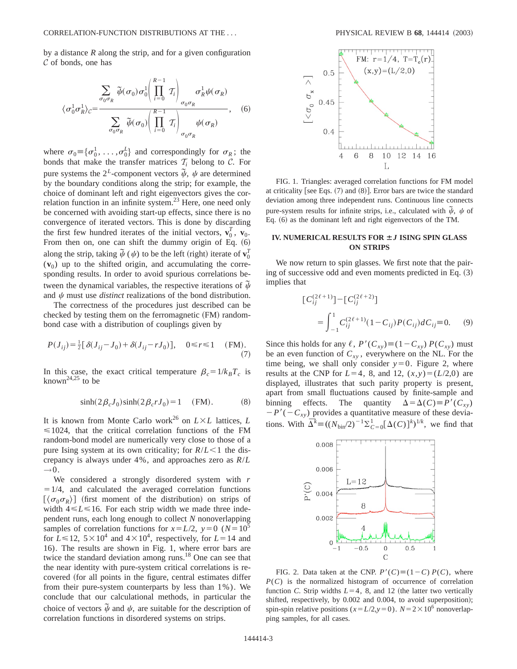by a distance *R* along the strip, and for a given configuration  $\mathcal C$  of bonds, one has

$$
\langle \sigma_0^1 \sigma_R^1 \rangle_C = \frac{\sum_{\sigma_0 \sigma_R} \tilde{\psi}(\sigma_0) \sigma_0^1 \left( \prod_{i=0}^{R-1} T_i \right)}{\sum_{\sigma_0 \sigma_R} \tilde{\psi}(\sigma_0) \left( \prod_{i=0}^{R-1} T_i \right)_{\sigma_0 \sigma_R}}, \quad (6)
$$

where  $\sigma_0 = {\sigma_0^1, \ldots, \sigma_0^L}$  and correspondingly for  $\sigma_R$ ; the bonds that make the transfer matrices  $T_i$  belong to  $C$ . For pure systems the 2<sup>L</sup>-component vectors  $\psi$ ,  $\psi$  are determined by the boundary conditions along the strip; for example, the choice of dominant left and right eigenvectors gives the correlation function in an infinite system.<sup>23</sup> Here, one need only be concerned with avoiding start-up effects, since there is no convergence of iterated vectors. This is done by discarding the first few hundred iterates of the initial vectors,  $\mathbf{v}_0^T$ ,  $\mathbf{v}_0$ . From then on, one can shift the dummy origin of Eq.  $(6)$ along the strip, taking  $\tilde{\psi}$  ( $\psi$ ) to be the left (right) iterate of  $\mathbf{v}_0^T$  $(v_0)$  up to the shifted origin, and accumulating the corresponding results. In order to avoid spurious correlations between the dynamical variables, the respective iterations of  $\tilde{\psi}$ and  $\psi$  must use *distinct* realizations of the bond distribution.

The correctness of the procedures just described can be checked by testing them on the ferromagnetic  $(FM)$  randombond case with a distribution of couplings given by

$$
P(J_{ij}) = \frac{1}{2} [\delta(J_{ij} - J_0) + \delta(J_{ij} - rJ_0)], \quad 0 \le r \le 1 \quad (FM).
$$
\n(7)

In this case, the exact critical temperature  $\beta_c = 1/k_B T_c$  is known<sup>24,25</sup> to be

$$
\sinh(2\beta_c J_0)\sinh(2\beta_c r J_0) = 1 \quad (FM). \tag{8}
$$

It is known from Monte Carlo work<sup>26</sup> on  $L \times L$  lattices, *L*  $\leq$  1024, that the critical correlation functions of the FM random-bond model are numerically very close to those of a pure Ising system at its own criticality; for  $R/L < 1$  the discrepancy is always under 4%, and approaches zero as *R*/*L*  $\rightarrow 0$ .

We considered a strongly disordered system with *r*  $=1/4$ , and calculated the averaged correlation functions  $\lceil \langle \sigma_0 \sigma_R \rangle \rceil$  (first moment of the distribution) on strips of width  $4 \le L \le 16$ . For each strip width we made three independent runs, each long enough to collect *N* nonoverlapping samples of correlation functions for  $x = L/2$ ,  $y = 0$  ( $N = 10^5$ ) for  $L \le 12$ ,  $5 \times 10^4$  and  $4 \times 10^4$ , respectively, for  $L = 14$  and 16). The results are shown in Fig. 1, where error bars are twice the standard deviation among runs.18 One can see that the near identity with pure-system critical correlations is recovered (for all points in the figure, central estimates differ from their pure-system counterparts by less than 1%). We conclude that our calculational methods, in particular the choice of vectors  $\tilde{\psi}$  and  $\psi$ , are suitable for the description of correlation functions in disordered systems on strips.



FIG. 1. Triangles: averaged correlation functions for FM model at criticality [see Eqs.  $(7)$  and  $(8)$ ]. Error bars are twice the standard deviation among three independent runs. Continuous line connects pure-system results for infinite strips, i.e., calculated with  $\tilde{\psi}$ ,  $\psi$  of Eq.  $(6)$  as the dominant left and right eigenvectors of the TM.

## **IV. NUMERICAL RESULTS FOR Á***J* **ISING SPIN GLASS ON STRIPS**

We now return to spin glasses. We first note that the pairing of successive odd and even moments predicted in Eq.  $(3)$ implies that

$$
\begin{aligned} \left[C_{ij}^{(2\ell+1)}\right] - \left[C_{ij}^{(2\ell+2)}\right] \\ &= \int_{-1}^{1} C_{ij}^{(2\ell+1)} (1 - C_{ij}) P(C_{ij}) dC_{ij} \equiv 0. \end{aligned} \tag{9}
$$

Since this holds for any  $\ell$ ,  $P'(C_{xy}) \equiv (1 - C_{xy}) P(C_{xy})$  must be an even function of *Cxy* , everywhere on the NL. For the time being, we shall only consider  $y=0$ . Figure 2, where results at the CNP for  $L=4$ , 8, and 12,  $(x,y)=(L/2,0)$  are displayed, illustrates that such parity property is present, apart from small fluctuations caused by finite-sample and binning effects. The quantity  $\Delta = \Delta(C) \equiv P'(C_{xy})$  $-P'(-C_{xy})$  provides a quantitative measure of these deviations. With  $\overline{\Delta}^k \equiv ((N_{\text{bin}}/2)^{-1} \Sigma_{C=0}^1 [\Delta(C)]^k)^{1/k}$ , we find that



FIG. 2. Data taken at the CNP.  $P'(C) \equiv (1 - C) P(C)$ , where  $P(C)$  is the normalized histogram of occurrence of correlation function *C*. Strip widths  $L=4$ , 8, and 12 (the latter two vertically shifted, respectively, by 0.002 and 0.004, to avoid superposition); spin-spin relative positions ( $x = L/2$ , $y = 0$ ).  $N = 2 \times 10^6$  nonoverlapping samples, for all cases.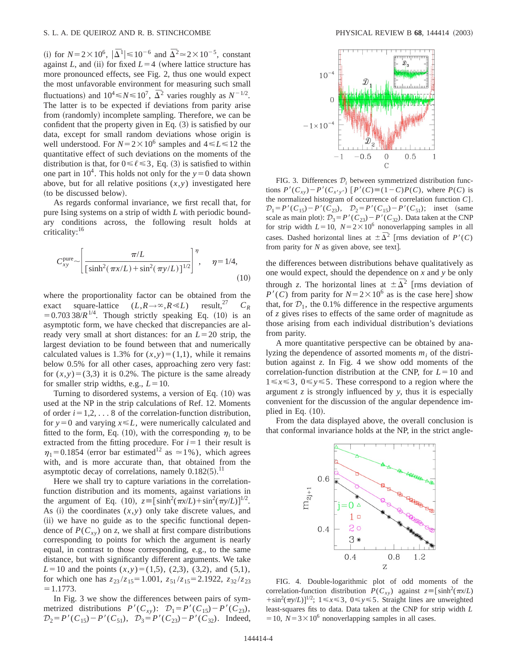(i) for  $N = 2 \times 10^6$ ,  $|\bar{\Delta}^1| \le 10^{-6}$  and  $\bar{\Delta}^2 \approx 2 \times 10^{-5}$ , constant against *L*, and (ii) for fixed  $L=4$  (where lattice structure has more pronounced effects, see Fig. 2, thus one would expect the most unfavorable environment for measuring such small fluctuations) and  $10^4 \le N \le 10^7$ ,  $\overline{\Delta}^2$  varies roughly as  $N^{-1/2}$ . The latter is to be expected if deviations from parity arise from (randomly) incomplete sampling. Therefore, we can be confident that the property given in Eq.  $(3)$  is satisfied by our data, except for small random deviations whose origin is well understood. For  $N=2\times10^6$  samples and  $4 \le L \le 12$  the quantitative effect of such deviations on the moments of the distribution is that, for  $0 \le \ell \le 3$ , Eq. (3) is satisfied to within one part in  $10^4$ . This holds not only for the  $y=0$  data shown above, but for all relative positions  $(x, y)$  investigated here (to be discussed below).

As regards conformal invariance, we first recall that, for pure Ising systems on a strip of width *L* with periodic boundary conditions across, the following result holds at criticality:16

$$
C_{xy}^{\text{pure}} \sim \left[ \frac{\pi/L}{\left[ \sinh^2(\pi x/L) + \sin^2(\pi y/L) \right]^{1/2}} \right]^\eta, \quad \eta = 1/4,
$$
\n(10)

where the proportionality factor can be obtained from the exact square-lattice  $(L, R \rightarrow \infty, R \ll L)$  result,<sup>27</sup>  $C_R$  $=0.703\,38/R^{1/4}$ . Though strictly speaking Eq. (10) is an asymptotic form, we have checked that discrepancies are already very small at short distances: for an  $L=20$  strip, the largest deviation to be found between that and numerically calculated values is 1.3% for  $(x, y) = (1,1)$ , while it remains below 0.5% for all other cases, approaching zero very fast: for  $(x, y) = (3, 3)$  it is 0.2%. The picture is the same already for smaller strip widths, e.g.,  $L=10$ .

Turning to disordered systems, a version of Eq.  $(10)$  was used at the NP in the strip calculations of Ref. 12. Moments of order  $i=1,2,\ldots 8$  of the correlation-function distribution, for  $y=0$  and varying  $x \le L$ , were numerically calculated and fitted to the form, Eq. (10), with the corresponding  $\eta_i$  to be extracted from the fitting procedure. For  $i=1$  their result is  $n_1 = 0.1854$  (error bar estimated<sup>12</sup> as  $\simeq 1\%$ ), which agrees with, and is more accurate than, that obtained from the asymptotic decay of correlations, namely  $0.182(5).$ <sup>11</sup>

Here we shall try to capture variations in the correlationfunction distribution and its moments, against variations in the argument of Eq. (10),  $z = [\sinh^2(\pi x/L) + \sin^2(\pi y/L)]^{1/2}$ . As  $(i)$  the coordinates  $(x, y)$  only take discrete values, and (ii) we have no guide as to the specific functional dependence of  $P(C_{xy})$  on *z*, we shall at first compare distributions corresponding to points for which the argument is nearly equal, in contrast to those corresponding, e.g., to the same distance, but with significantly different arguments. We take  $L=10$  and the points  $(x,y)=(1,5)$ ,  $(2,3)$ ,  $(3,2)$ , and  $(5,1)$ , for which one has  $z_{23}/z_{15} = 1.001$ ,  $z_{51}/z_{15} = 2.1922$ ,  $z_{32}/z_{23}$  $=1.1773.$ 

In Fig. 3 we show the differences between pairs of symmetrized distributions  $P'(C_{xy})$ :  $\mathcal{D}_1 = P'(C_{15}) - P'(C_{23})$ ,  $\mathcal{D}_2 = P'(C_{15}) - P'(C_{51}), \quad \mathcal{D}_3 = P'(C_{23}) - P'(C_{32}).$  Indeed,



FIG. 3. Differences  $\mathcal{D}_i$  between symmetrized distribution functions  $P'(C_{xy}) - P'(C_{x'y'})$   $[P'(C) \equiv (1 - C)P(C)$ , where  $P(C)$  is the normalized histogram of occurrence of correlation function *C*].  $\mathcal{D}_1 = P'(C_{15}) - P'(C_{23}), \quad \mathcal{D}_2 = P'(C_{15}) - P'(C_{51}); \text{ inset (same)}$ scale as main plot):  $\mathcal{D}_3 = P'(C_{23}) - P'(C_{32})$ . Data taken at the CNP for strip width  $L=10$ ,  $N=2\times10^6$  nonoverlapping samples in all cases. Dashed horizontal lines at  $\pm \overline{\Delta}^2$  [rms deviation of *P'*(*C*) from parity for  $N$  as given above, see text].

the differences between distributions behave qualitatively as one would expect, should the dependence on *x* and *y* be only through *z*. The horizontal lines at  $\pm \overline{\Delta}^2$  [rms deviation of  $P'(C)$  from parity for  $N=2\times10^6$  as is the case here] show that, for  $\mathcal{D}_1$ , the 0.1% difference in the respective arguments of *z* gives rises to effects of the same order of magnitude as those arising from each individual distribution's deviations from parity.

A more quantitative perspective can be obtained by analyzing the dependence of assorted moments  $m_i$  of the distribution against *z*. In Fig. 4 we show odd moments of the correlation-function distribution at the CNP, for  $L=10$  and  $1 \leq x \leq 3$ ,  $0 \leq y \leq 5$ . These correspond to a region where the argument *z* is strongly influenced by *y*, thus it is especially convenient for the discussion of the angular dependence implied in Eq.  $(10)$ .

From the data displayed above, the overall conclusion is that conformal invariance holds at the NP, in the strict angle-



FIG. 4. Double-logarithmic plot of odd moments of the correlation-function distribution  $P(C_{xy})$  against  $z = [\sinh^2(\pi x/L)]$  $+\sin^2(\pi y/L)$ <sup> $1/2$ </sup>;  $1 \le x \le 3$ ,  $0 \le y \le 5$ . Straight lines are unweighted least-squares fits to data. Data taken at the CNP for strip width *L*  $=$  10,  $N=3\times10^6$  nonoverlapping samples in all cases.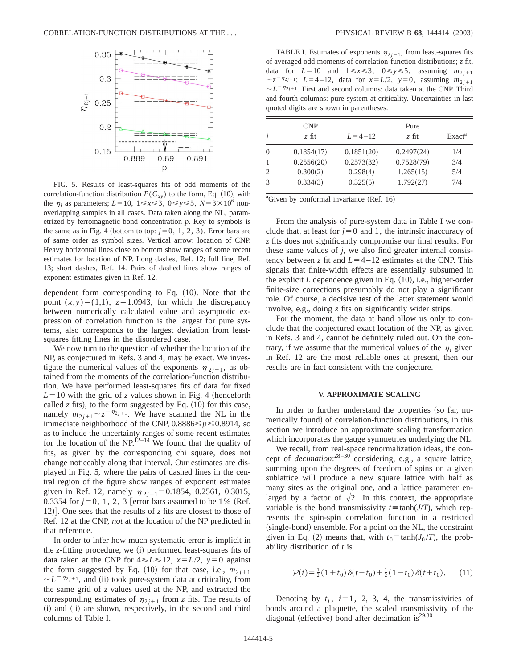

FIG. 5. Results of least-squares fits of odd moments of the correlation-function distribution  $P(C_{xy})$  to the form, Eq. (10), with the  $\eta_i$  as parameters;  $L=10$ ,  $1 \le x \le 3$ ,  $0 \le y \le 5$ ,  $N=3 \times 10^6$  nonoverlapping samples in all cases. Data taken along the NL, parametrized by ferromagnetic bond concentration *p*. Key to symbols is the same as in Fig. 4 (bottom to top:  $j=0, 1, 2, 3$ ). Error bars are of same order as symbol sizes. Vertical arrow: location of CNP. Heavy horizontal lines close to bottom show ranges of some recent estimates for location of NP. Long dashes, Ref. 12; full line, Ref. 13; short dashes, Ref. 14. Pairs of dashed lines show ranges of exponent estimates given in Ref. 12.

dependent form corresponding to Eq.  $(10)$ . Note that the point  $(x, y) = (1,1)$ ,  $z = 1.0943$ , for which the discrepancy between numerically calculated value and asymptotic expression of correlation function is the largest for pure systems, also corresponds to the largest deviation from leastsquares fitting lines in the disordered case.

We now turn to the question of whether the location of the NP, as conjectured in Refs. 3 and 4, may be exact. We investigate the numerical values of the exponents  $\eta_{2i+1}$ , as obtained from the moments of the correlation-function distribution. We have performed least-squares fits of data for fixed  $L=10$  with the grid of *z* values shown in Fig. 4 (henceforth called  $z$  fits), to the form suggested by Eq.  $(10)$  for this case, namely  $m_{2i+1} \sim z^{-\eta_{2i+1}}$ . We have scanned the NL in the immediate neighborhood of the CNP,  $0.8886 \leq p \leq 0.8914$ , so as to include the uncertainty ranges of some recent estimates for the location of the NP.<sup>12–14</sup> We found that the quality of fits, as given by the corresponding chi square, does not change noticeably along that interval. Our estimates are displayed in Fig. 5, where the pairs of dashed lines in the central region of the figure show ranges of exponent estimates given in Ref. 12, namely  $\eta_{2i+1} = 0.1854, 0.2561, 0.3015,$ 0.3354 for  $j=0, 1, 2, 3$  [error bars assumed to be 1% (Ref.) 12)]. One sees that the results of  $\zeta$  fits are closest to those of Ref. 12 at the CNP, *not* at the location of the NP predicted in that reference.

In order to infer how much systematic error is implicit in the *z*-fitting procedure, we (i) performed least-squares fits of data taken at the CNP for  $4 \le L \le 12$ ,  $x = L/2$ ,  $y = 0$  against the form suggested by Eq. (10) for that case, i.e.,  $m_{2i+1}$  $\sim L^{-\eta_{2j+1}}$ , and (ii) took pure-system data at criticality, from the same grid of *z* values used at the NP, and extracted the corresponding estimates of  $\eta_{2j+1}$  from *z* fits. The results of (i) and (ii) are shown, respectively, in the second and third columns of Table I.

TABLE I. Estimates of exponents  $\eta_{2i+1}$ , from least-squares fits of averaged odd moments of correlation-function distributions; *z* fit, data for  $L=10$  and  $1 \le x \le 3$ ,  $0 \le y \le 5$ , assuming  $m_{2i+1}$  $\sim$  *z*<sup>-*n*</sup>2*j*+1; *L*=4-12, data for *x*=*L*/2, *y*=0, assuming *m*<sub>2*j*+1</sub>  $\sim L^{-\eta_{2j+1}}$ . First and second columns: data taken at the CNP. Third and fourth columns: pure system at criticality. Uncertainties in last quoted digits are shown in parentheses.

| j        | <b>CNP</b><br>$z$ fit | $L = 4 - 12$ | Pure<br>$z$ fit | Exact <sup>a</sup> |
|----------|-----------------------|--------------|-----------------|--------------------|
| $\theta$ | 0.1854(17)            | 0.1851(20)   | 0.2497(24)      | 1/4                |
|          | 0.2556(20)            | 0.2573(32)   | 0.7528(79)      | 3/4                |
| 2        | 0.300(2)              | 0.298(4)     | 1.265(15)       | 5/4                |
| 3        | 0.334(3)              | 0.325(5)     | 1.792(27)       | 7/4                |

<sup>a</sup>Given by conformal invariance (Ref. 16)

From the analysis of pure-system data in Table I we conclude that, at least for  $j=0$  and 1, the intrinsic inaccuracy of *z* fits does not significantly compromise our final results. For these same values of *j*, we also find greater internal consistency between *z* fit and  $L=4-12$  estimates at the CNP. This signals that finite-width effects are essentially subsumed in the explicit  $L$  dependence given in Eq.  $(10)$ , i.e., higher-order finite-size corrections presumably do not play a significant role. Of course, a decisive test of the latter statement would involve, e.g., doing *z* fits on significantly wider strips.

For the moment, the data at hand allow us only to conclude that the conjectured exact location of the NP, as given in Refs. 3 and 4, cannot be definitely ruled out. On the contrary, if we assume that the numerical values of the  $\eta_i$  given in Ref. 12 are the most reliable ones at present, then our results are in fact consistent with the conjecture.

#### **V. APPROXIMATE SCALING**

In order to further understand the properties (so far, numerically found) of correlation-function distributions, in this section we introduce an approximate scaling transformation which incorporates the gauge symmetries underlying the NL.

We recall, from real-space renormalization ideas, the concept of *decimation*: 28–30 considering, e.g., a square lattice, summing upon the degrees of freedom of spins on a given sublattice will produce a new square lattice with half as many sites as the original one, and a lattice parameter enlarged by a factor of  $\sqrt{2}$ . In this context, the appropriate variable is the bond transmissivity  $t \equiv \tanh(J/T)$ , which represents the spin-spin correlation function in a restricted (single-bond) ensemble. For a point on the NL, the constraint given in Eq. (2) means that, with  $t_0 \equiv \tanh(J_0 / T)$ , the probability distribution of *t* is

$$
\mathcal{P}(t) = \frac{1}{2}(1+t_0)\,\delta(t-t_0) + \frac{1}{2}(1-t_0)\,\delta(t+t_0). \tag{11}
$$

Denoting by  $t_i$ ,  $i=1$ , 2, 3, 4, the transmissivities of bonds around a plaquette, the scaled transmissivity of the diagonal (effective) bond after decimation is<sup>29,30</sup>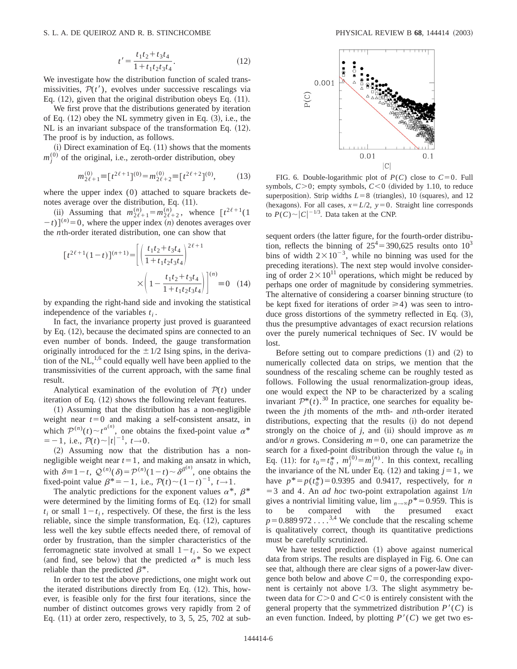$$
t' = \frac{t_1 t_2 + t_3 t_4}{1 + t_1 t_2 t_3 t_4}.
$$
 (12)

We investigate how the distribution function of scaled transmissivities,  $P(t')$ , evolves under successive rescalings via Eq.  $(12)$ , given that the original distribution obeys Eq.  $(11)$ .

We first prove that the distributions generated by iteration of Eq.  $(12)$  obey the NL symmetry given in Eq.  $(3)$ , i.e., the  $NL$  is an invariant subspace of the transformation Eq.  $(12)$ . The proof is by induction, as follows.

 $(i)$  Direct examination of Eq.  $(11)$  shows that the moments  $m_j^{(0)}$  of the original, i.e., zeroth-order distribution, obey

$$
m_{2\ell+1}^{(0)} \equiv [t^{2\ell+1}]^{(0)} = m_{2\ell+2}^{(0)} \equiv [t^{2\ell+2}]^{(0)},\tag{13}
$$

where the upper index (0) attached to square brackets denotes average over the distribution, Eq.  $(11)$ .

(ii) Assuming that  $m_{2\ell+1}^{(n)} = m_{2\ell+2}^{(n)}$ , whence  $\lceil t^{2\ell+1}(1) \rceil$  $(t-t)$ <sup>[*n*</sup></sub> $= 0$ , where the upper index *(n)* denotes averages over the *n*th-order iterated distribution, one can show that

$$
[t^{2\ell+1}(1-t)]^{(n+1)} = \left[ \left( \frac{t_1 t_2 + t_3 t_4}{1 + t_1 t_2 t_3 t_4} \right)^{2\ell+1} \times \left( 1 - \frac{t_1 t_2 + t_3 t_4}{1 + t_1 t_2 t_3 t_4} \right) \right]^{(n)} = 0 \quad (14)
$$

by expanding the right-hand side and invoking the statistical independence of the variables  $t_i$ .

In fact, the invariance property just proved is guaranteed by Eq.  $(12)$ , because the decimated spins are connected to an even number of bonds. Indeed, the gauge transformation originally introduced for the  $\pm 1/2$  Ising spins, in the derivation of the  $NL$ ,<sup>1,6</sup> could equally well have been applied to the transmissivities of the current approach, with the same final result.

Analytical examination of the evolution of  $P(t)$  under iteration of Eq.  $(12)$  shows the following relevant features.

 $(1)$  Assuming that the distribution has a non-negligible weight near  $t=0$  and making a self-consistent ansatz, in which  $\mathcal{P}^{(n)}(t) \sim t^{\alpha^{(n)}}$ , one obtains the fixed-point value  $\alpha^*$  $=-1$ , i.e.,  $\mathcal{P}(t) \sim |t|^{-1}$ ,  $t \to 0$ .

(2) Assuming now that the distribution has a nonnegligible weight near  $t=1$ , and making an ansatz in which, with  $\delta = 1 - t$ ,  $\mathcal{Q}^{(n)}(\delta) = \mathcal{P}^{(n)}(1 - t) \sim \delta^{\beta^{(n)}}$ , one obtains the fixed-point value  $\beta^*=-1$ , i.e.,  $\mathcal{P}(t)\sim(1-t)^{-1}$ ,  $t\rightarrow1$ .

The analytic predictions for the exponent values  $\alpha^*$ ,  $\beta^*$ were determined by the limiting forms of Eq.  $(12)$  for small  $t_i$  or small  $1-t_i$ , respectively. Of these, the first is the less reliable, since the simple transformation, Eq.  $(12)$ , captures less well the key subtle effects needed there, of removal of order by frustration, than the simpler characteristics of the ferromagnetic state involved at small  $1-t_i$ . So we expect (and find, see below) that the predicted  $\alpha^*$  is much less reliable than the predicted  $\beta^*$ .

In order to test the above predictions, one might work out the iterated distributions directly from Eq. (12). This, however, is feasible only for the first four iterations, since the number of distinct outcomes grows very rapidly from 2 of Eq.  $(11)$  at order zero, respectively, to 3, 5, 25, 702 at sub-



FIG. 6. Double-logarithmic plot of  $P(C)$  close to  $C=0$ . Full symbols,  $C>0$ ; empty symbols,  $C<0$  (divided by 1.10, to reduce superposition). Strip widths  $L=8$  (triangles), 10 (squares), and 12 (hexagons). For all cases,  $x=L/2$ ,  $y=0$ . Straight line corresponds to  $P(C) \sim |C|^{-1/3}$ . Data taken at the CNP.

sequent orders (the latter figure, for the fourth-order distribution, reflects the binning of  $25^4$  = 390,625 results onto 10<sup>3</sup> bins of width  $2\times10^{-3}$ , while no binning was used for the preceding iterations). The next step would involve considering of order  $2 \times 10^{11}$  operations, which might be reduced by perhaps one order of magnitude by considering symmetries. The alternative of considering a coarser binning structure (to be kept fixed for iterations of order  $\geq 4$ ) was seen to introduce gross distortions of the symmetry reflected in Eq.  $(3)$ , thus the presumptive advantages of exact recursion relations over the purely numerical techniques of Sec. IV would be lost.

Before setting out to compare predictions  $(1)$  and  $(2)$  to numerically collected data on strips, we mention that the soundness of the rescaling scheme can be roughly tested as follows. Following the usual renormalization-group ideas, one would expect the NP to be characterized by a scaling invariant  $\mathcal{P}^*(t)$ .<sup>30</sup> In practice, one searches for equality between the *j*th moments of the *m*th- and *n*th-order iterated distributions, expecting that the results (i) do not depend strongly on the choice of  $j$ , and  $(ii)$  should improve as  $m$ and/or *n* grows. Considering  $m=0$ , one can parametrize the search for a fixed-point distribution through the value  $t_0$  in Eq. (11): for  $t_0 = t_0^*$ ,  $m_j^{(0)} = m_j^{(n)}$ . In this context, recalling the invariance of the NL under Eq.  $(12)$  and taking  $j=1$ , we have  $p^* = p(t_0^*) = 0.9395$  and 0.9417, respectively, for *n*  $=$  3 and 4. An *ad hoc* two-point extrapolation against  $1/n$ gives a nontrivial limiting value,  $\lim_{n\to\infty} p^* = 0.959$ . This is to be compared with the presumed exact the presumed  $p=0.889 972...$ <sup>3,4</sup> We conclude that the rescaling scheme is qualitatively correct, though its quantitative predictions must be carefully scrutinized.

We have tested prediction  $(1)$  above against numerical data from strips. The results are displayed in Fig. 6. One can see that, although there are clear signs of a power-law divergence both below and above  $C=0$ , the corresponding exponent is certainly not above 1/3. The slight asymmetry between data for  $C>0$  and  $C<0$  is entirely consistent with the general property that the symmetrized distribution  $P'(C)$  is an even function. Indeed, by plotting  $P'(C)$  we get two es-